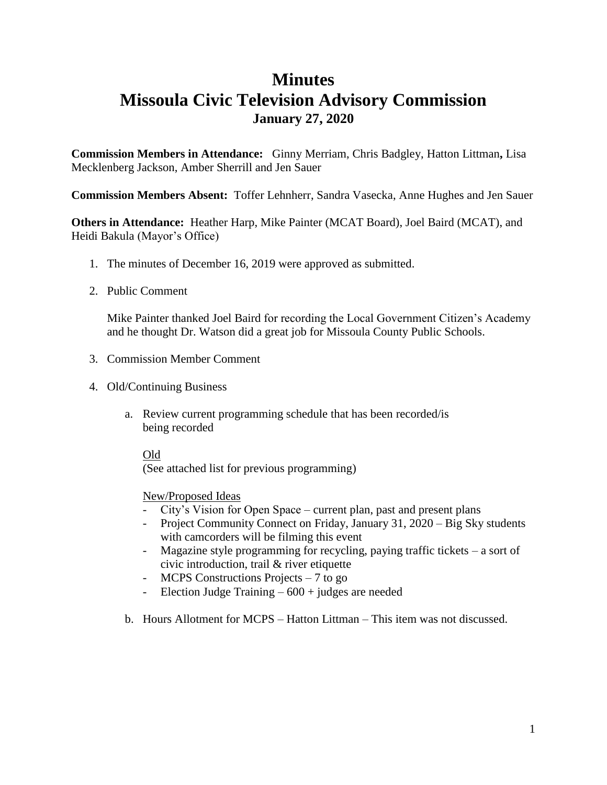## **Minutes Missoula Civic Television Advisory Commission January 27, 2020**

**Commission Members in Attendance:** Ginny Merriam, Chris Badgley, Hatton Littman**,** Lisa Mecklenberg Jackson, Amber Sherrill and Jen Sauer

**Commission Members Absent:** Toffer Lehnherr, Sandra Vasecka, Anne Hughes and Jen Sauer

**Others in Attendance:** Heather Harp, Mike Painter (MCAT Board), Joel Baird (MCAT), and Heidi Bakula (Mayor's Office)

- 1. The minutes of December 16, 2019 were approved as submitted.
- 2. Public Comment

Mike Painter thanked Joel Baird for recording the Local Government Citizen's Academy and he thought Dr. Watson did a great job for Missoula County Public Schools.

- 3. Commission Member Comment
- 4. Old/Continuing Business
	- a. Review current programming schedule that has been recorded/is being recorded

## Old

(See attached list for previous programming)

## New/Proposed Ideas

- City's Vision for Open Space current plan, past and present plans
- Project Community Connect on Friday, January 31, 2020 Big Sky students with camcorders will be filming this event
- Magazine style programming for recycling, paying traffic tickets a sort of civic introduction, trail & river etiquette
- MCPS Constructions Projects 7 to go
- Election Judge Training  $-600 +$  judges are needed
- b. Hours Allotment for MCPS Hatton Littman This item was not discussed.